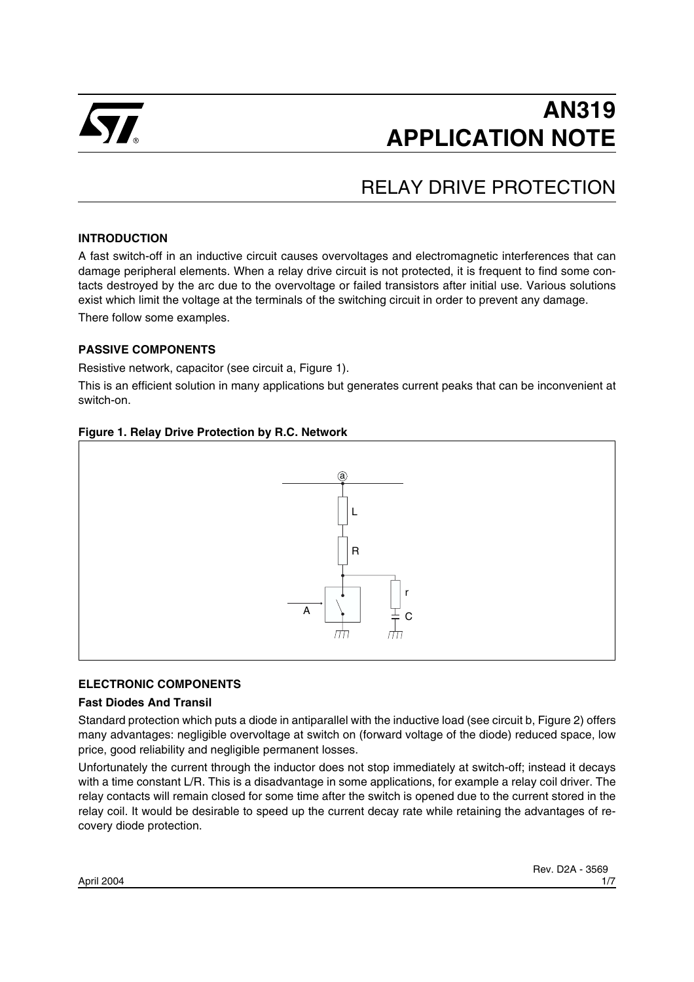

# **AN319 APPLICATION NOTE**

## RELAY DRIVE PROTECTION

#### **INTRODUCTION**

A fast switch-off in an inductive circuit causes overvoltages and electromagnetic interferences that can damage peripheral elements. When a relay drive circuit is not protected, it is frequent to find some contacts destroyed by the arc due to the overvoltage or failed transistors after initial use. Various solutions exist which limit the voltage at the terminals of the switching circuit in order to prevent any damage. There follow some examples.

#### **PASSIVE COMPONENTS**

Resistive network, capacitor (see circuit a, Figure 1).

This is an efficient solution in many applications but generates current peaks that can be inconvenient at switch-on.

#### **Figure 1. Relay Drive Protection by R.C. Network**



#### **ELECTRONIC COMPONENTS**

#### **Fast Diodes And Transil**

Standard protection which puts a diode in antiparallel with the inductive load (see circuit b, Figure 2) offers many advantages: negligible overvoltage at switch on (forward voltage of the diode) reduced space, low price, good reliability and negligible permanent losses.

Unfortunately the current through the inductor does not stop immediately at switch-off; instead it decays with a time constant L/R. This is a disadvantage in some applications, for example a relay coil driver. The relay contacts will remain closed for some time after the switch is opened due to the current stored in the relay coil. It would be desirable to speed up the current decay rate while retaining the advantages of recovery diode protection.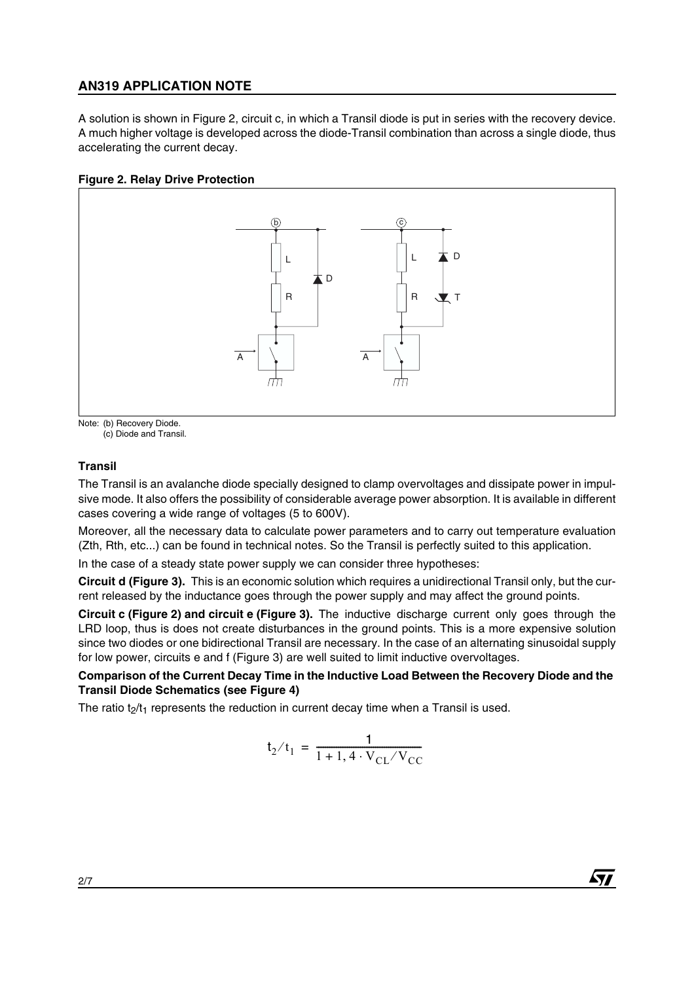## **AN319 APPLICATION NOTE**

A solution is shown in Figure 2, circuit c, in which a Transil diode is put in series with the recovery device. A much higher voltage is developed across the diode-Transil combination than across a single diode, thus accelerating the current decay.

#### **Figure 2. Relay Drive Protection**



Note: (b) Recovery Diode.

(c) Diode and Transil.

#### **Transil**

The Transil is an avalanche diode specially designed to clamp overvoltages and dissipate power in impulsive mode. It also offers the possibility of considerable average power absorption. It is available in different cases covering a wide range of voltages (5 to 600V).

Moreover, all the necessary data to calculate power parameters and to carry out temperature evaluation (Zth, Rth, etc...) can be found in technical notes. So the Transil is perfectly suited to this application.

In the case of a steady state power supply we can consider three hypotheses:

**Circuit d (Figure 3).** This is an economic solution which requires a unidirectional Transil only, but the current released by the inductance goes through the power supply and may affect the ground points.

**Circuit c (Figure 2) and circuit e (Figure 3).** The inductive discharge current only goes through the LRD loop, thus is does not create disturbances in the ground points. This is a more expensive solution since two diodes or one bidirectional Transil are necessary. In the case of an alternating sinusoidal supply for low power, circuits e and f (Figure 3) are well suited to limit inductive overvoltages.

#### **Comparison of the Current Decay Time in the Inductive Load Between the Recovery Diode and the Transil Diode Schematics (see Figure 4)**

The ratio  $t_2/t_1$  represents the reduction in current decay time when a Transil is used.

$$
t_2/t_1 = \frac{1}{1 + 1, 4 \cdot V_{CL}/V_{CC}}
$$

 $\sqrt{1}$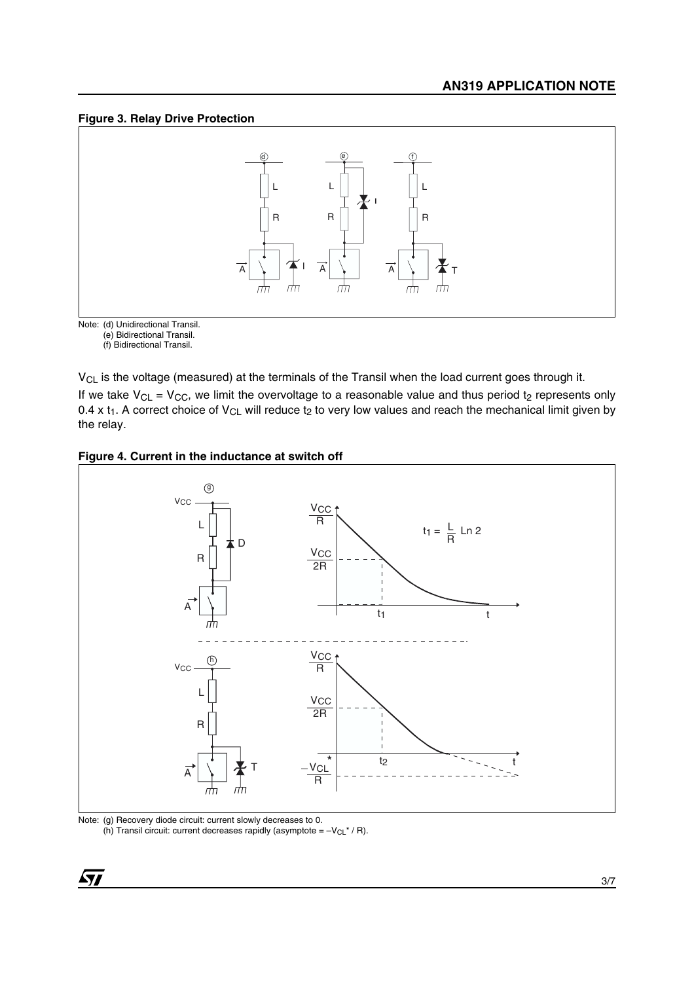#### **Figure 3. Relay Drive Protection**



Note: (d) Unidirectional Transil. (e) Bidirectional Transil.

(f) Bidirectional Transil.

V<sub>CL</sub> is the voltage (measured) at the terminals of the Transil when the load current goes through it.

If we take  $\sf{V}_{\sf CL}$  =  $\sf{V}_{\sf CC}$ , we limit the overvoltage to a reasonable value and thus period t $_2$  represents only 0.4 x t<sub>1</sub>. A correct choice of V<sub>CL</sub> will reduce t<sub>2</sub> to very low values and reach the mechanical limit given by the relay.





Note: (g) Recovery diode circuit: current slowly decreases to 0. (h) Transil circuit: current decreases rapidly (asymptote =  $-V_{CL}$ <sup>\*</sup> / R).

 $\sqrt{2}$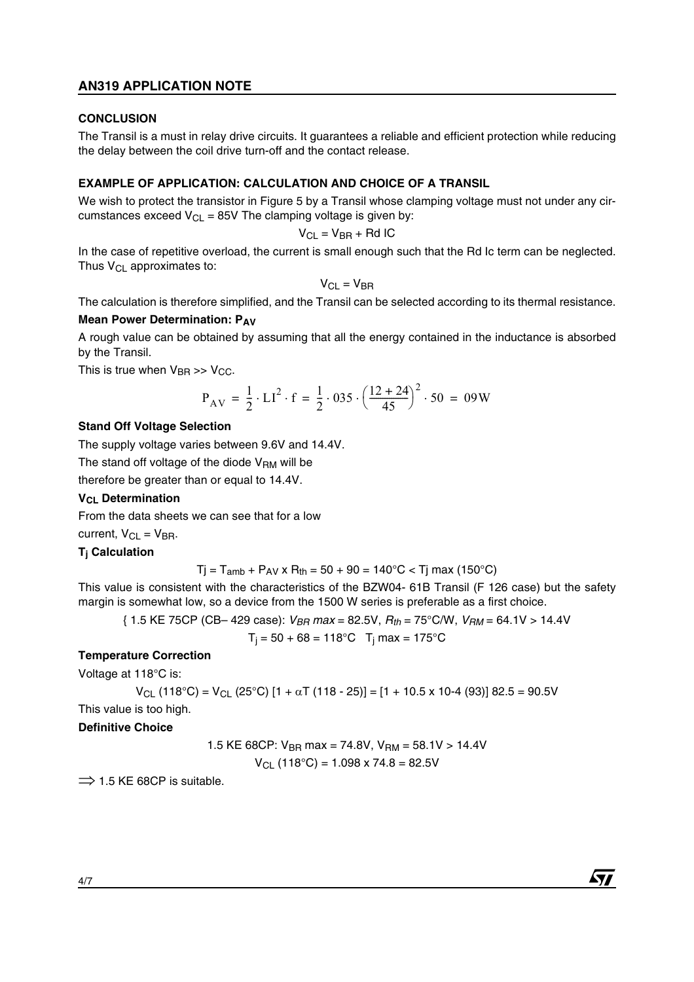### **AN319 APPLICATION NOTE**

#### **CONCLUSION**

The Transil is a must in relay drive circuits. It guarantees a reliable and efficient protection while reducing the delay between the coil drive turn-off and the contact release.

#### **EXAMPLE OF APPLICATION: CALCULATION AND CHOICE OF A TRANSIL**

We wish to protect the transistor in Figure 5 by a Transil whose clamping voltage must not under any circumstances exceed  $V_{\text{Cl}} = 85V$  The clamping voltage is given by:

$$
V_{CL} = V_{BR} + Rd IC
$$

In the case of repetitive overload, the current is small enough such that the Rd Ic term can be neglected. Thus  $V_{CL}$  approximates to:

$$
V_{CL} = V_{BR}
$$

The calculation is therefore simplified, and the Transil can be selected according to its thermal resistance.

#### **Mean Power Determination: PAV**

A rough value can be obtained by assuming that all the energy contained in the inductance is absorbed by the Transil.

This is true when  $V_{\rm BR} \gg V_{\rm CC}$ .

$$
P_{AV} = \frac{1}{2} \cdot LI^2 \cdot f = \frac{1}{2} \cdot 035 \cdot \left(\frac{12 + 24}{45}\right)^2 \cdot 50 = 09W
$$

#### **Stand Off Voltage Selection**

The supply voltage varies between 9.6V and 14.4V.

The stand off voltage of the diode  $V<sub>BM</sub>$  will be

therefore be greater than or equal to 14.4V.

#### **V<sub>CL</sub>** Determination

From the data sheets we can see that for a low

current,  $V_{CL} = V_{BR}$ .

#### **Tj Calculation**

$$
Tj = T_{amb} + P_{AV} \times R_{th} = 50 + 90 = 140
$$
°C  $< Tj$  max (150°C)

This value is consistent with the characteristics of the BZW04- 61B Transil (F 126 case) but the safety margin is somewhat low, so a device from the 1500 W series is preferable as a first choice.

$$
\{ 1.5 \text{ KE } 75 \text{CP } (\text{CB} - 429 \text{ case}): V_{BR} \text{ max} = 82.5 \text{V}, R_{th} = 75^{\circ} \text{C/W}, V_{RM} = 64.1 \text{V} > 14.4 \text{V}
$$

$$
T_j = 50 + 68 = 118^{\circ}C
$$
  $T_j$  max = 175°C

#### **Temperature Correction**

Voltage at 118°C is:

$$
V_{CL} (118^{\circ}C) = V_{CL} (25^{\circ}C) [1 + \alpha T (118 - 25)] = [1 + 10.5 \times 10^{-4} (93)] 82.5 = 90.5V
$$

57

This value is too high.

#### **Definitive Choice**

1.5 KE 68CP: VBR max = 74.8V, VRM = 58.1V > 14.4V VCL (118°C) = 1.098 x 74.8 = 82.5V

 $\Rightarrow$  1.5 KE 68CP is suitable.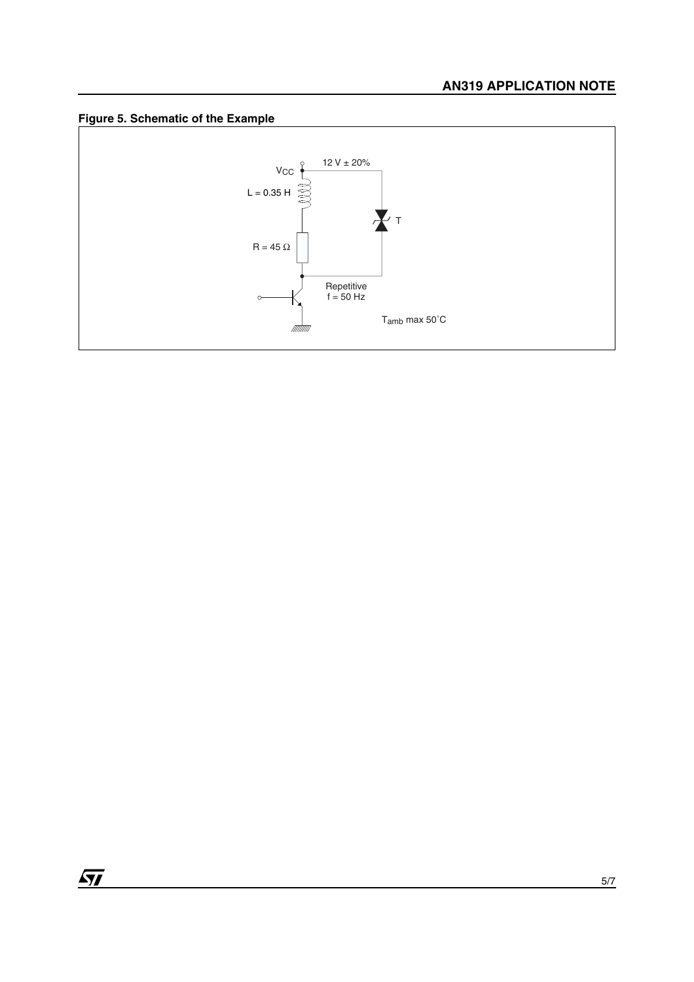



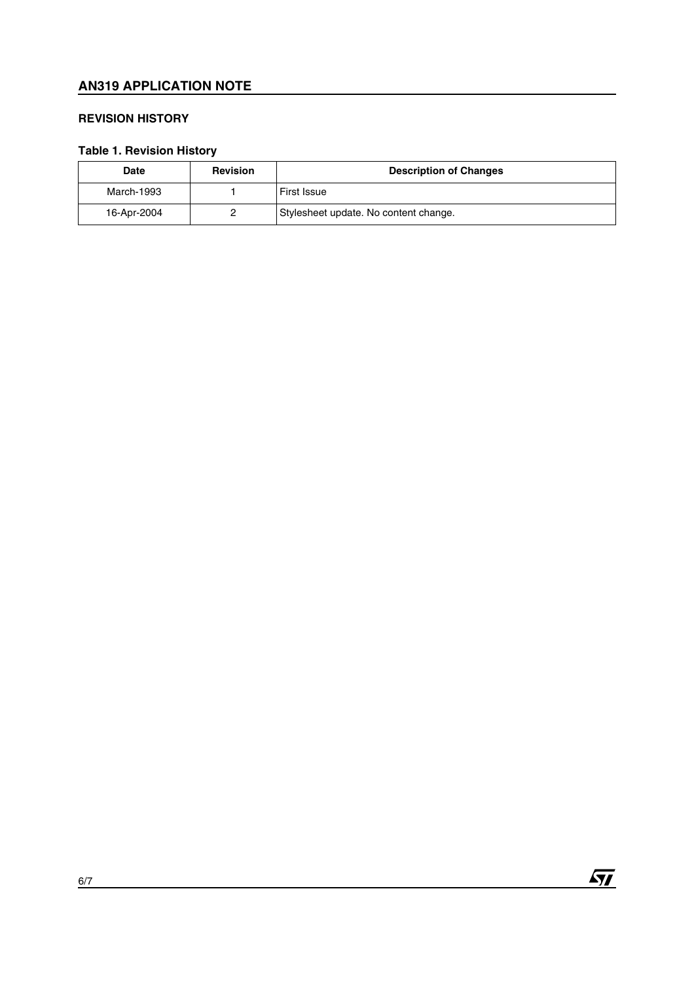## **AN319 APPLICATION NOTE**

#### **REVISION HISTORY**

## **Table 1. Revision History**

| Date        | <b>Revision</b> | <b>Description of Changes</b>         |
|-------------|-----------------|---------------------------------------|
| March-1993  |                 | <b>First Issue</b>                    |
| 16-Apr-2004 |                 | Stylesheet update. No content change. |